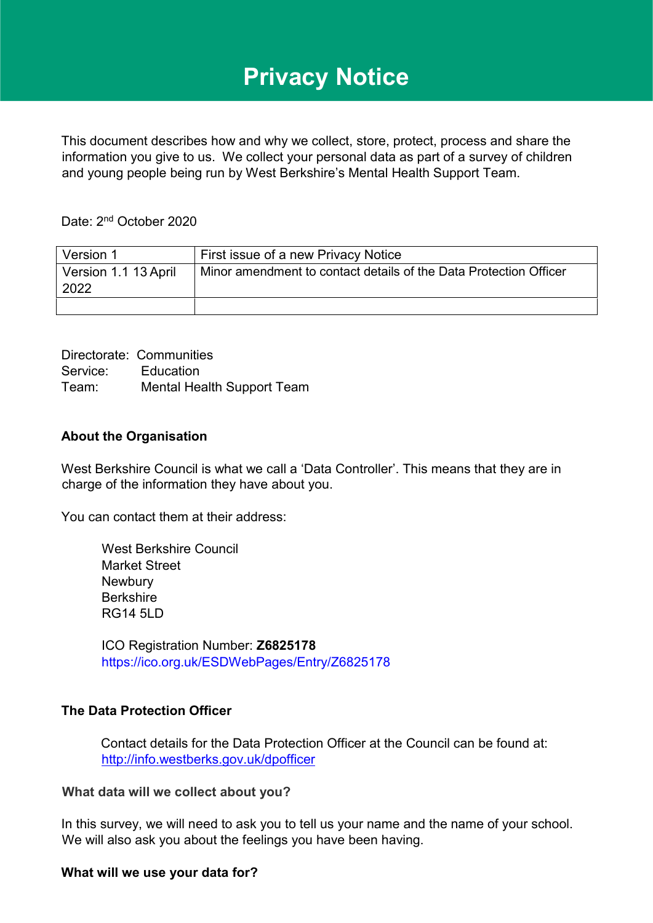# **Privacy Notice**

This document describes how and why we collect, store, protect, process and share the information you give to us. We collect your personal data as part of a survey of children and young people being run by West Berkshire's Mental Health Support Team.

Date: 2<sup>nd</sup> October 2020

| Version 1                    | First issue of a new Privacy Notice                               |
|------------------------------|-------------------------------------------------------------------|
| Version 1.1 13 April<br>2022 | Minor amendment to contact details of the Data Protection Officer |
|                              |                                                                   |

Directorate: Communities Service: Education Team: Mental Health Support Team

#### **About the Organisation**

West Berkshire Council is what we call a 'Data Controller'. This means that they are in charge of the information they have about you.

You can contact them at their address:

West Berkshire Council Market Street **Newbury** Berkshire RG14 5LD

ICO Registration Number: **Z6825178**  <https://ico.org.uk/ESDWebPages/Entry/Z6825178>

#### **The Data Protection Officer**

Contact details for the Data Protection Officer at the Council can be found at: <http://info.westberks.gov.uk/dpofficer>

#### **What data will we collect about you?**

In this survey, we will need to ask you to tell us your name and the name of your school. We will also ask you about the feelings you have been having.

#### **What will we use your data for?**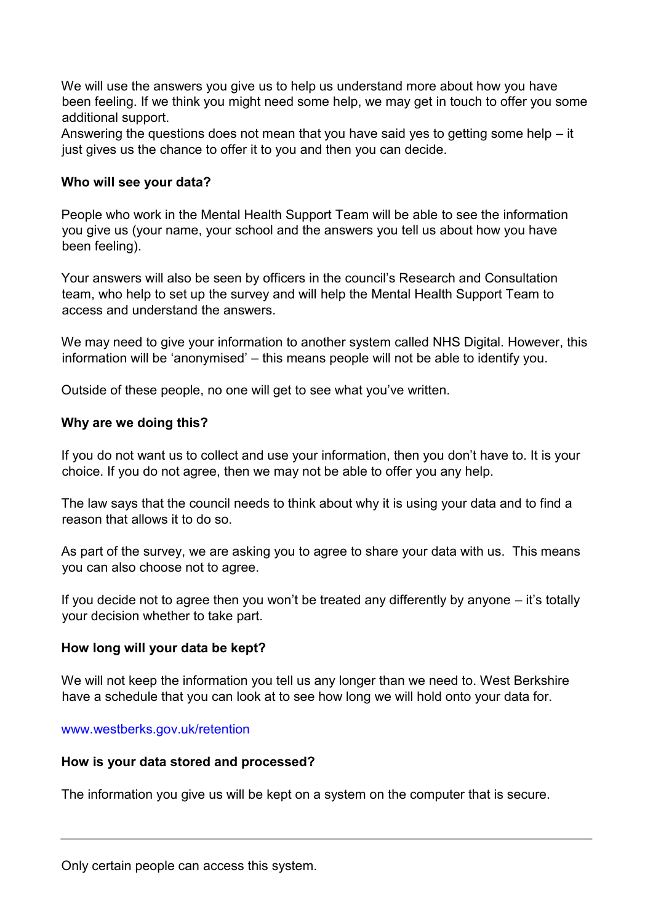We will use the answers you give us to help us understand more about how you have been feeling. If we think you might need some help, we may get in touch to offer you some additional support.

Answering the questions does not mean that you have said yes to getting some help – it just gives us the chance to offer it to you and then you can decide.

## **Who will see your data?**

People who work in the Mental Health Support Team will be able to see the information you give us (your name, your school and the answers you tell us about how you have been feeling).

Your answers will also be seen by officers in the council's Research and Consultation team, who help to set up the survey and will help the Mental Health Support Team to access and understand the answers.

We may need to give your information to another system called NHS Digital. However, this information will be 'anonymised' – this means people will not be able to identify you.

Outside of these people, no one will get to see what you've written.

# **Why are we doing this?**

If you do not want us to collect and use your information, then you don't have to. It is your choice. If you do not agree, then we may not be able to offer you any help.

The law says that the council needs to think about why it is using your data and to find a reason that allows it to do so.

As part of the survey, we are asking you to agree to share your data with us. This means you can also choose not to agree.

If you decide not to agree then you won't be treated any differently by anyone – it's totally your decision whether to take part.

## **How long will your data be kept?**

We will not keep the information you tell us any longer than we need to. West Berkshire have a schedule that you can look at to see how long we will hold onto your data for.

## [www.westberks.gov.uk/retention](http://www.westberks.gov.uk/retention)

## **How is your data stored and processed?**

The information you give us will be kept on a system on the computer that is secure.